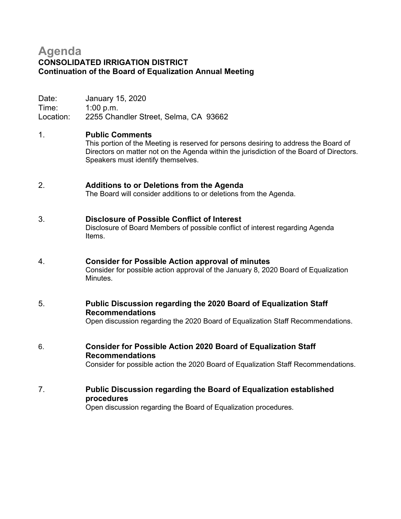# **Agenda CONSOLIDATED IRRIGATION DISTRICT Continuation of the Board of Equalization Annual Meeting**

Date: January 15, 2020 Time: 1:00 p.m. Location: 2255 Chandler Street, Selma, CA 93662

# 1. **Public Comments**

This portion of the Meeting is reserved for persons desiring to address the Board of Directors on matter not on the Agenda within the jurisdiction of the Board of Directors. Speakers must identify themselves.

### 2. **Additions to or Deletions from the Agenda**

The Board will consider additions to or deletions from the Agenda.

#### 3. **Disclosure of Possible Conflict of Interest**

Disclosure of Board Members of possible conflict of interest regarding Agenda Items.

### 4. **Consider for Possible Action approval of minutes**

Consider for possible action approval of the January 8, 2020 Board of Equalization Minutes.

# 5. **Public Discussion regarding the 2020 Board of Equalization Staff Recommendations**

Open discussion regarding the 2020 Board of Equalization Staff Recommendations.

6. **Consider for Possible Action 2020 Board of Equalization Staff Recommendations**

Consider for possible action the 2020 Board of Equalization Staff Recommendations.

# 7. **Public Discussion regarding the Board of Equalization established procedures**

Open discussion regarding the Board of Equalization procedures.